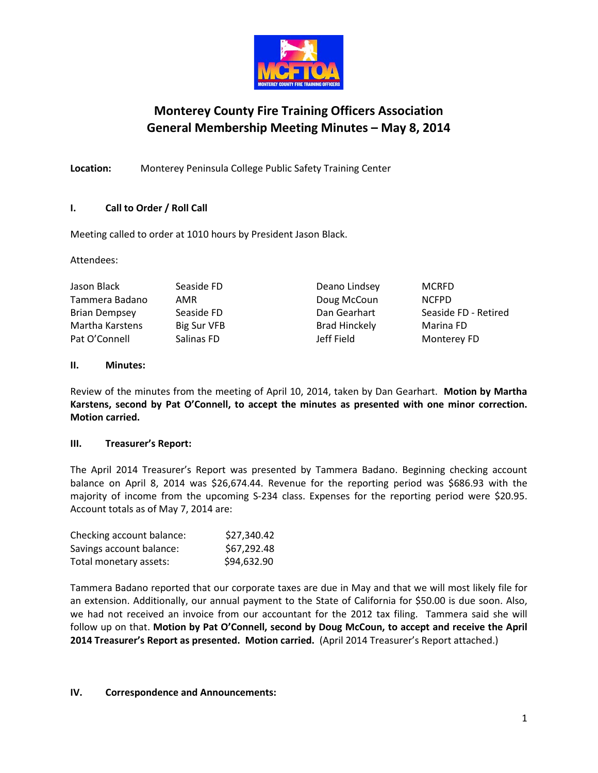

# **Monterey County Fire Training Officers Association General Membership Meeting Minutes – May 8, 2014**

**Location:** Monterey Peninsula College Public Safety Training Center

# **I. Call to Order / Roll Call**

Meeting called to order at 1010 hours by President Jason Black.

Attendees:

| Jason Black          | Seaside FD  | Deano Lindsey        | <b>MCRFD</b>         |
|----------------------|-------------|----------------------|----------------------|
| Tammera Badano       | AMR         | Doug McCoun          | <b>NCFPD</b>         |
| <b>Brian Dempsey</b> | Seaside FD  | Dan Gearhart         | Seaside FD - Retired |
| Martha Karstens      | Big Sur VFB | <b>Brad Hinckely</b> | Marina FD            |
| Pat O'Connell        | Salinas FD  | Jeff Field           | Monterey FD          |

# **II. Minutes:**

Review of the minutes from the meeting of April 10, 2014, taken by Dan Gearhart. **Motion by Martha Karstens, second by Pat O'Connell, to accept the minutes as presented with one minor correction. Motion carried.**

# **III. Treasurer's Report:**

The April 2014 Treasurer's Report was presented by Tammera Badano. Beginning checking account balance on April 8, 2014 was \$26,674.44. Revenue for the reporting period was \$686.93 with the majority of income from the upcoming S-234 class. Expenses for the reporting period were \$20.95. Account totals as of May 7, 2014 are:

| Checking account balance: | \$27,340.42 |
|---------------------------|-------------|
| Savings account balance:  | \$67,292.48 |
| Total monetary assets:    | \$94,632.90 |

Tammera Badano reported that our corporate taxes are due in May and that we will most likely file for an extension. Additionally, our annual payment to the State of California for \$50.00 is due soon. Also, we had not received an invoice from our accountant for the 2012 tax filing. Tammera said she will follow up on that. **Motion by Pat O'Connell, second by Doug McCoun, to accept and receive the April 2014 Treasurer's Report as presented. Motion carried.** (April 2014 Treasurer's Report attached.)

## **IV. Correspondence and Announcements:**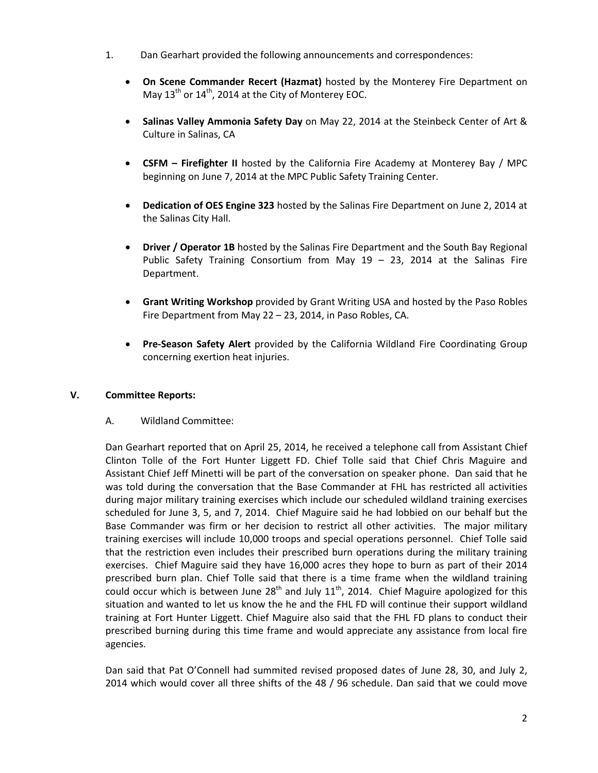- 1. Dan Gearhart provided the following announcements and correspondences:
	- **On Scene Commander Recert (Hazmat)** hosted by the Monterey Fire Department on May  $13<sup>th</sup>$  or  $14<sup>th</sup>$ , 2014 at the City of Monterey EOC.
	- **Salinas Valley Ammonia Safety Day** on May 22, 2014 at the Steinbeck Center of Art & Culture in Salinas, CA
	- **CSFM – Firefighter II** hosted by the California Fire Academy at Monterey Bay / MPC beginning on June 7, 2014 at the MPC Public Safety Training Center.
	- **Dedication of OES Engine 323** hosted by the Salinas Fire Department on June 2, 2014 at the Salinas City Hall.
	- **Driver / Operator 1B** hosted by the Salinas Fire Department and the South Bay Regional Public Safety Training Consortium from May 19 – 23, 2014 at the Salinas Fire Department.
	- **Grant Writing Workshop** provided by Grant Writing USA and hosted by the Paso Robles Fire Department from May 22 – 23, 2014, in Paso Robles, CA.
	- **Pre-Season Safety Alert** provided by the California Wildland Fire Coordinating Group concerning exertion heat injuries.

# **V. Committee Reports:**

A. Wildland Committee:

Dan Gearhart reported that on April 25, 2014, he received a telephone call from Assistant Chief Clinton Tolle of the Fort Hunter Liggett FD. Chief Tolle said that Chief Chris Maguire and Assistant Chief Jeff Minetti will be part of the conversation on speaker phone. Dan said that he was told during the conversation that the Base Commander at FHL has restricted all activities during major military training exercises which include our scheduled wildland training exercises scheduled for June 3, 5, and 7, 2014. Chief Maguire said he had lobbied on our behalf but the Base Commander was firm or her decision to restrict all other activities. The major military training exercises will include 10,000 troops and special operations personnel. Chief Tolle said that the restriction even includes their prescribed burn operations during the military training exercises. Chief Maguire said they have 16,000 acres they hope to burn as part of their 2014 prescribed burn plan. Chief Tolle said that there is a time frame when the wildland training could occur which is between June  $28<sup>th</sup>$  and July  $11<sup>th</sup>$ , 2014. Chief Maguire apologized for this situation and wanted to let us know the he and the FHL FD will continue their support wildland training at Fort Hunter Liggett. Chief Maguire also said that the FHL FD plans to conduct their prescribed burning during this time frame and would appreciate any assistance from local fire agencies.

Dan said that Pat O'Connell had summited revised proposed dates of June 28, 30, and July 2, 2014 which would cover all three shifts of the 48 / 96 schedule. Dan said that we could move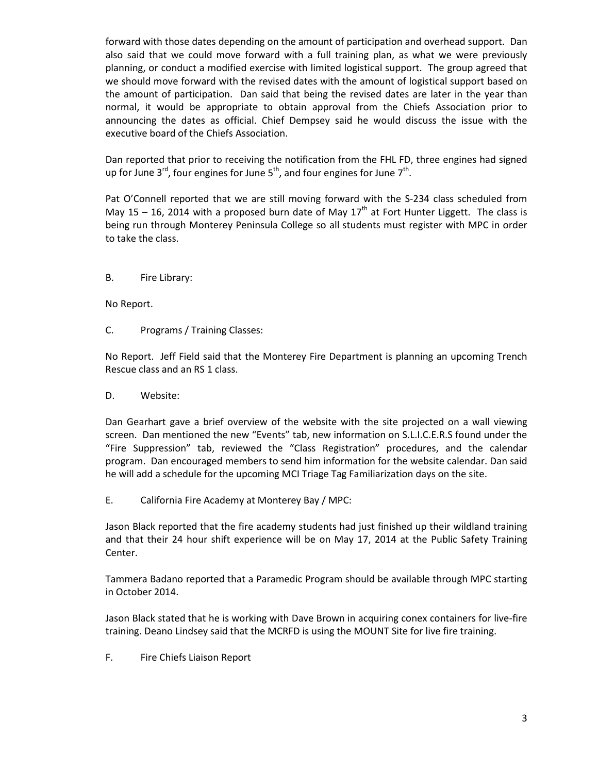forward with those dates depending on the amount of participation and overhead support. Dan also said that we could move forward with a full training plan, as what we were previously planning, or conduct a modified exercise with limited logistical support. The group agreed that we should move forward with the revised dates with the amount of logistical support based on the amount of participation. Dan said that being the revised dates are later in the year than normal, it would be appropriate to obtain approval from the Chiefs Association prior to announcing the dates as official. Chief Dempsey said he would discuss the issue with the executive board of the Chiefs Association.

Dan reported that prior to receiving the notification from the FHL FD, three engines had signed up for June  $3^{rd}$ , four engines for June  $5^{th}$ , and four engines for June  $7^{th}$ .

Pat O'Connell reported that we are still moving forward with the S-234 class scheduled from May 15 – 16, 2014 with a proposed burn date of May  $17<sup>th</sup>$  at Fort Hunter Liggett. The class is being run through Monterey Peninsula College so all students must register with MPC in order to take the class.

B. Fire Library:

No Report.

C. Programs / Training Classes:

No Report. Jeff Field said that the Monterey Fire Department is planning an upcoming Trench Rescue class and an RS 1 class.

D. Website:

Dan Gearhart gave a brief overview of the website with the site projected on a wall viewing screen. Dan mentioned the new "Events" tab, new information on S.L.I.C.E.R.S found under the "Fire Suppression" tab, reviewed the "Class Registration" procedures, and the calendar program. Dan encouraged members to send him information for the website calendar. Dan said he will add a schedule for the upcoming MCI Triage Tag Familiarization days on the site.

E. California Fire Academy at Monterey Bay / MPC:

Jason Black reported that the fire academy students had just finished up their wildland training and that their 24 hour shift experience will be on May 17, 2014 at the Public Safety Training Center.

Tammera Badano reported that a Paramedic Program should be available through MPC starting in October 2014.

Jason Black stated that he is working with Dave Brown in acquiring conex containers for live-fire training. Deano Lindsey said that the MCRFD is using the MOUNT Site for live fire training.

F. Fire Chiefs Liaison Report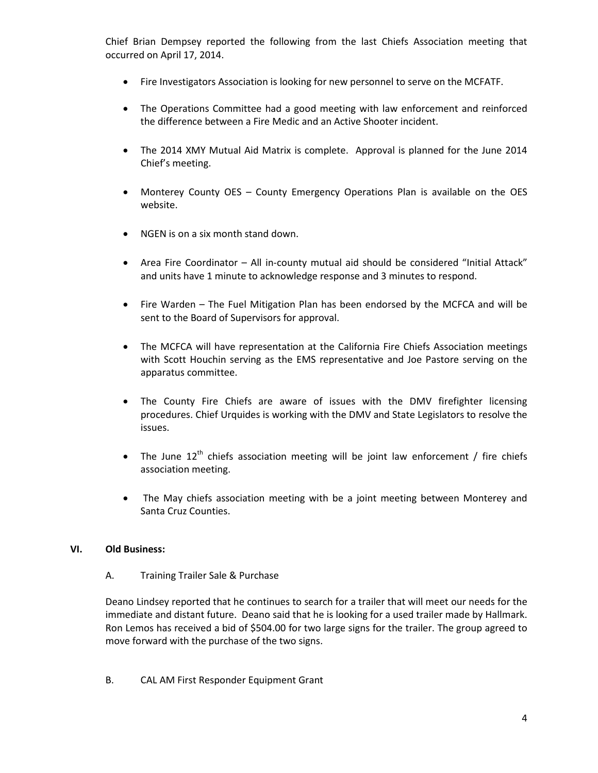Chief Brian Dempsey reported the following from the last Chiefs Association meeting that occurred on April 17, 2014.

- Fire Investigators Association is looking for new personnel to serve on the MCFATF.
- The Operations Committee had a good meeting with law enforcement and reinforced the difference between a Fire Medic and an Active Shooter incident.
- The 2014 XMY Mutual Aid Matrix is complete. Approval is planned for the June 2014 Chief's meeting.
- Monterey County OES County Emergency Operations Plan is available on the OES website.
- NGEN is on a six month stand down.
- Area Fire Coordinator All in-county mutual aid should be considered "Initial Attack" and units have 1 minute to acknowledge response and 3 minutes to respond.
- Fire Warden The Fuel Mitigation Plan has been endorsed by the MCFCA and will be sent to the Board of Supervisors for approval.
- The MCFCA will have representation at the California Fire Chiefs Association meetings with Scott Houchin serving as the EMS representative and Joe Pastore serving on the apparatus committee.
- The County Fire Chiefs are aware of issues with the DMV firefighter licensing procedures. Chief Urquides is working with the DMV and State Legislators to resolve the issues.
- The June  $12<sup>th</sup>$  chiefs association meeting will be joint law enforcement / fire chiefs association meeting.
- The May chiefs association meeting with be a joint meeting between Monterey and Santa Cruz Counties.

## **VI. Old Business:**

A. Training Trailer Sale & Purchase

Deano Lindsey reported that he continues to search for a trailer that will meet our needs for the immediate and distant future. Deano said that he is looking for a used trailer made by Hallmark. Ron Lemos has received a bid of \$504.00 for two large signs for the trailer. The group agreed to move forward with the purchase of the two signs.

B. CAL AM First Responder Equipment Grant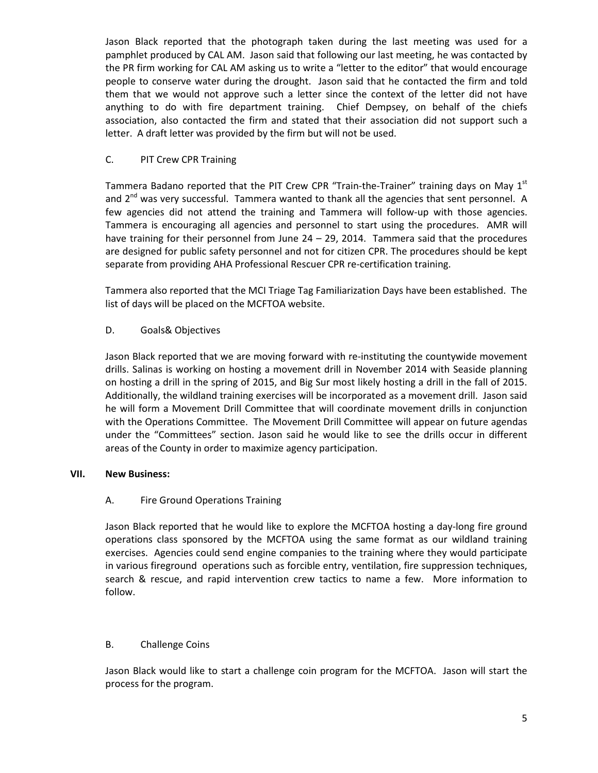Jason Black reported that the photograph taken during the last meeting was used for a pamphlet produced by CAL AM. Jason said that following our last meeting, he was contacted by the PR firm working for CAL AM asking us to write a "letter to the editor" that would encourage people to conserve water during the drought. Jason said that he contacted the firm and told them that we would not approve such a letter since the context of the letter did not have anything to do with fire department training. Chief Dempsey, on behalf of the chiefs association, also contacted the firm and stated that their association did not support such a letter. A draft letter was provided by the firm but will not be used.

## C. PIT Crew CPR Training

Tammera Badano reported that the PIT Crew CPR "Train-the-Trainer" training days on May 1<sup>st</sup> and  $2^{nd}$  was very successful. Tammera wanted to thank all the agencies that sent personnel. A few agencies did not attend the training and Tammera will follow-up with those agencies. Tammera is encouraging all agencies and personnel to start using the procedures. AMR will have training for their personnel from June  $24 - 29$ , 2014. Tammera said that the procedures are designed for public safety personnel and not for citizen CPR. The procedures should be kept separate from providing AHA Professional Rescuer CPR re-certification training.

Tammera also reported that the MCI Triage Tag Familiarization Days have been established. The list of days will be placed on the MCFTOA website.

## D. Goals& Objectives

Jason Black reported that we are moving forward with re-instituting the countywide movement drills. Salinas is working on hosting a movement drill in November 2014 with Seaside planning on hosting a drill in the spring of 2015, and Big Sur most likely hosting a drill in the fall of 2015. Additionally, the wildland training exercises will be incorporated as a movement drill. Jason said he will form a Movement Drill Committee that will coordinate movement drills in conjunction with the Operations Committee. The Movement Drill Committee will appear on future agendas under the "Committees" section. Jason said he would like to see the drills occur in different areas of the County in order to maximize agency participation.

## **VII. New Business:**

# A. Fire Ground Operations Training

Jason Black reported that he would like to explore the MCFTOA hosting a day-long fire ground operations class sponsored by the MCFTOA using the same format as our wildland training exercises. Agencies could send engine companies to the training where they would participate in various fireground operations such as forcible entry, ventilation, fire suppression techniques, search & rescue, and rapid intervention crew tactics to name a few. More information to follow.

## B. Challenge Coins

Jason Black would like to start a challenge coin program for the MCFTOA. Jason will start the process for the program.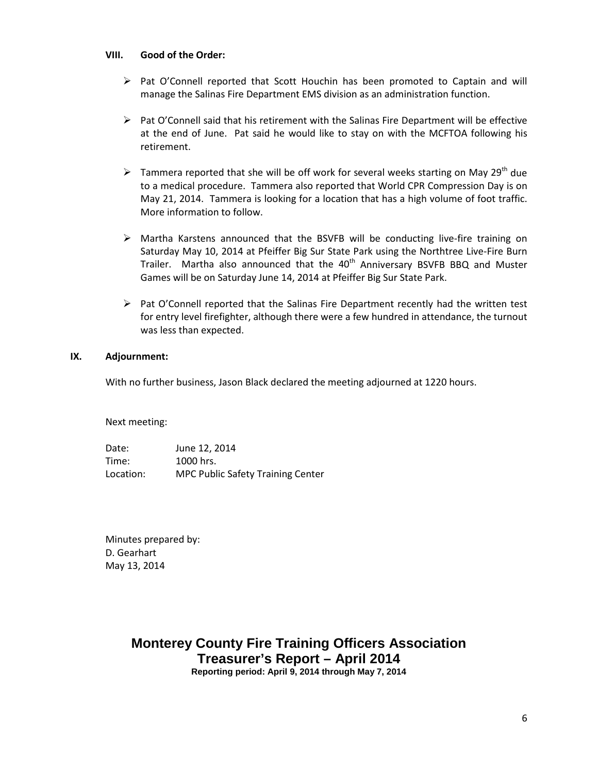## **VIII. Good of the Order:**

- $\triangleright$  Pat O'Connell reported that Scott Houchin has been promoted to Captain and will manage the Salinas Fire Department EMS division as an administration function.
- $\triangleright$  Pat O'Connell said that his retirement with the Salinas Fire Department will be effective at the end of June. Pat said he would like to stay on with the MCFTOA following his retirement.
- Frequence Tammera reported that she will be off work for several weeks starting on May 29<sup>th</sup> due to a medical procedure. Tammera also reported that World CPR Compression Day is on May 21, 2014. Tammera is looking for a location that has a high volume of foot traffic. More information to follow.
- $\triangleright$  Martha Karstens announced that the BSVFB will be conducting live-fire training on Saturday May 10, 2014 at Pfeiffer Big Sur State Park using the Northtree Live-Fire Burn Trailer. Martha also announced that the 40<sup>th</sup> Anniversary BSVFB BBQ and Muster Games will be on Saturday June 14, 2014 at Pfeiffer Big Sur State Park.
- $\triangleright$  Pat O'Connell reported that the Salinas Fire Department recently had the written test for entry level firefighter, although there were a few hundred in attendance, the turnout was less than expected.

## **IX. Adjournment:**

With no further business, Jason Black declared the meeting adjourned at 1220 hours.

Next meeting:

Date: June 12, 2014 Time: 1000 hrs. Location: MPC Public Safety Training Center

Minutes prepared by: D. Gearhart May 13, 2014

# **Monterey County Fire Training Officers Association Treasurer's Report – April 2014 Reporting period: April 9, 2014 through May 7, 2014**